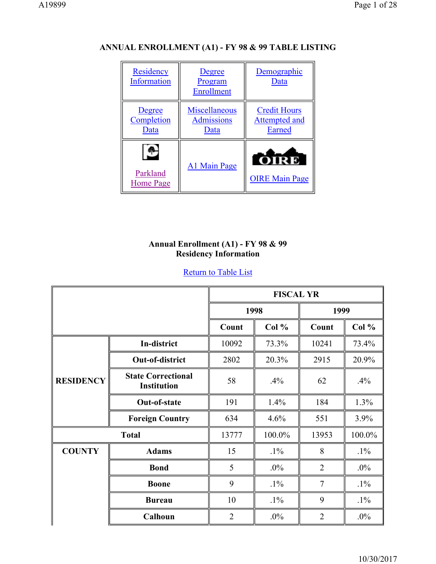| Residency<br>Information     | Degree<br>Program<br>Enrollment            | Demographic<br>Data                                   |
|------------------------------|--------------------------------------------|-------------------------------------------------------|
| Degree<br>Completion<br>Data | Miscellaneous<br><b>Admissions</b><br>Data | <b>Credit Hours</b><br><b>Attempted and</b><br>Earned |
| Parkland<br>Home Page        | A1 Main Page                               | OIRE<br><b>OIRE Main Page</b>                         |

# **ANNUAL ENROLLMENT (A1) - FY 98 & 99 TABLE LISTING**

## **Annual Enrollment (A1) - FY 98 & 99 Residency Information**

|                  |                                                 | <b>FISCAL YR</b> |        |                |        |
|------------------|-------------------------------------------------|------------------|--------|----------------|--------|
|                  |                                                 | 1998             |        | 1999           |        |
|                  |                                                 | Count            | Col %  | Count          | Col %  |
|                  | In-district                                     | 10092            | 73.3%  | 10241          | 73.4%  |
|                  | Out-of-district                                 | 2802             | 20.3%  | 2915           | 20.9%  |
| <b>RESIDENCY</b> | <b>State Correctional</b><br><b>Institution</b> | 58               | .4%    | 62             | .4%    |
|                  | Out-of-state                                    | 191              | 1.4%   | 184            | 1.3%   |
|                  | <b>Foreign Country</b>                          | 634              | 4.6%   | 551            | 3.9%   |
|                  | <b>Total</b>                                    | 13777            | 100.0% | 13953          | 100.0% |
| <b>COUNTY</b>    | <b>Adams</b>                                    | 15               | $.1\%$ | 8              | $.1\%$ |
|                  | <b>Bond</b>                                     | 5                | $.0\%$ | $\overline{2}$ | $.0\%$ |
|                  | <b>Boone</b>                                    | 9                | $.1\%$ | $\overline{7}$ | $.1\%$ |
|                  | <b>Bureau</b>                                   | 10               | $.1\%$ | 9              | $.1\%$ |
|                  | Calhoun                                         | $\overline{2}$   | $.0\%$ | $\overline{2}$ | $.0\%$ |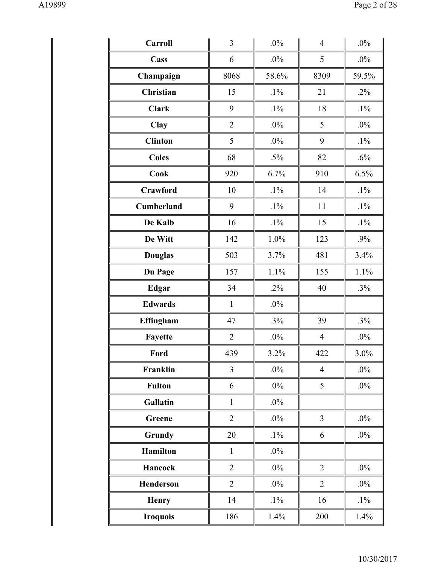| Carroll           | 3              | .0%    | $\overline{4}$ | .0%     |
|-------------------|----------------|--------|----------------|---------|
| Cass              | 6              | $.0\%$ | 5              | $.0\%$  |
| Champaign         | 8068           | 58.6%  | 8309           | 59.5%   |
| <b>Christian</b>  | 15             | $.1\%$ | 21             | $.2\%$  |
| <b>Clark</b>      | 9              | $.1\%$ | 18             | $.1\%$  |
| Clay              | $\overline{2}$ | $.0\%$ | 5              | $.0\%$  |
| <b>Clinton</b>    | 5              | $.0\%$ | 9              | $.1\%$  |
| <b>Coles</b>      | 68             | $.5\%$ | 82             | .6%     |
| <b>Cook</b>       | 920            | 6.7%   | 910            | 6.5%    |
| <b>Crawford</b>   | 10             | $.1\%$ | 14             | $.1\%$  |
| <b>Cumberland</b> | 9              | $.1\%$ | 11             | $.1\%$  |
| De Kalb           | 16             | $.1\%$ | 15             | $.1\%$  |
| De Witt           | 142            | 1.0%   | 123            | .9%     |
| <b>Douglas</b>    | 503            | 3.7%   | 481            | 3.4%    |
| Du Page           | 157            | 1.1%   | 155            | 1.1%    |
| <b>Edgar</b>      | 34             | $.2\%$ | 40             | .3%     |
| <b>Edwards</b>    | $\mathbf{1}$   | $.0\%$ |                |         |
| Effingham         | 47             | .3%    | 39             | .3%     |
| Fayette           | $\overline{2}$ | $.0\%$ | $\overline{4}$ | $.0\%$  |
| Ford              | 439            | 3.2%   | 422            | $3.0\%$ |
| Franklin          | $\overline{3}$ | $.0\%$ | $\overline{4}$ | $.0\%$  |
| <b>Fulton</b>     | 6              | $.0\%$ | 5              | $.0\%$  |
| Gallatin          | $\mathbf{1}$   | $.0\%$ |                |         |
| Greene            | $\overline{2}$ | $.0\%$ | $\mathfrak{Z}$ | $.0\%$  |
| Grundy            | 20             | $.1\%$ | 6              | $.0\%$  |
| <b>Hamilton</b>   | $\mathbf{1}$   | $.0\%$ |                |         |
| Hancock           | $\overline{2}$ | $.0\%$ | $\overline{2}$ | $.0\%$  |
| Henderson         | $\overline{2}$ | $.0\%$ | $\overline{2}$ | $.0\%$  |
| <b>Henry</b>      | 14             | $.1\%$ | 16             | $.1\%$  |
| <b>Iroquois</b>   | 186            | 1.4%   | 200            | 1.4%    |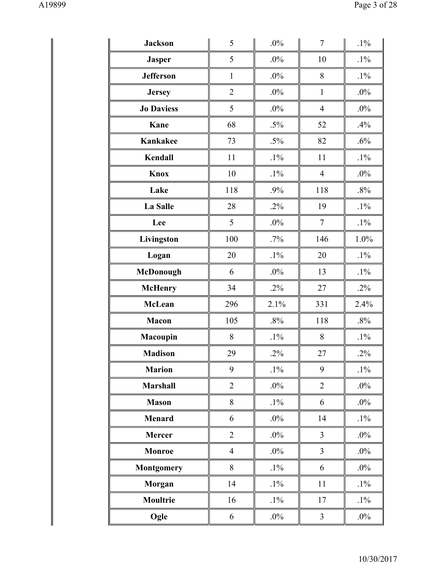| <b>Jackson</b>    | 5              | .0%    | $\tau$         | $.1\%$ |
|-------------------|----------------|--------|----------------|--------|
| <b>Jasper</b>     | 5              | $.0\%$ | 10             | $.1\%$ |
| <b>Jefferson</b>  | $\mathbf{1}$   | $.0\%$ | 8              | $.1\%$ |
| <b>Jersey</b>     | $\overline{2}$ | $.0\%$ | $\mathbf{1}$   | $.0\%$ |
| <b>Jo Daviess</b> | 5              | $.0\%$ | $\overline{4}$ | $.0\%$ |
| Kane              | 68             | $.5\%$ | 52             | .4%    |
| Kankakee          | 73             | $.5\%$ | 82             | .6%    |
| Kendall           | 11             | $.1\%$ | 11             | $.1\%$ |
| Knox              | 10             | $.1\%$ | $\overline{4}$ | $.0\%$ |
| Lake              | 118            | .9%    | 118            | .8%    |
| <b>La Salle</b>   | 28             | $.2\%$ | 19             | $.1\%$ |
| Lee               | 5              | $.0\%$ | $\tau$         | $.1\%$ |
| Livingston        | 100            | $.7\%$ | 146            | 1.0%   |
| Logan             | 20             | $.1\%$ | 20             | $.1\%$ |
| McDonough         | 6              | $.0\%$ | 13             | $.1\%$ |
| <b>McHenry</b>    | 34             | $.2\%$ | 27             | $.2\%$ |
| <b>McLean</b>     | 296            | 2.1%   | 331            | 2.4%   |
| <b>Macon</b>      | 105            | $.8\%$ | 118            | $.8\%$ |
| Macoupin          | 8              | $.1\%$ | 8              | $.1\%$ |
| <b>Madison</b>    | 29             | $.2\%$ | 27             | $.2\%$ |
| <b>Marion</b>     | 9              | $.1\%$ | 9              | $.1\%$ |
| <b>Marshall</b>   | $\overline{2}$ | $.0\%$ | $\overline{2}$ | $.0\%$ |
| <b>Mason</b>      | 8              | $.1\%$ | 6              | $.0\%$ |
| Menard            | 6              | $.0\%$ | 14             | $.1\%$ |
| <b>Mercer</b>     | $\overline{2}$ | $.0\%$ | $\overline{3}$ | $.0\%$ |
| <b>Monroe</b>     | $\overline{4}$ | $.0\%$ | $\overline{3}$ | $.0\%$ |
| <b>Montgomery</b> | 8              | $.1\%$ | 6              | $.0\%$ |
| Morgan            | 14             | $.1\%$ | 11             | $.1\%$ |
| <b>Moultrie</b>   | 16             | $.1\%$ | 17             | $.1\%$ |
| Ogle              | 6              | $.0\%$ | $\mathfrak{Z}$ | $.0\%$ |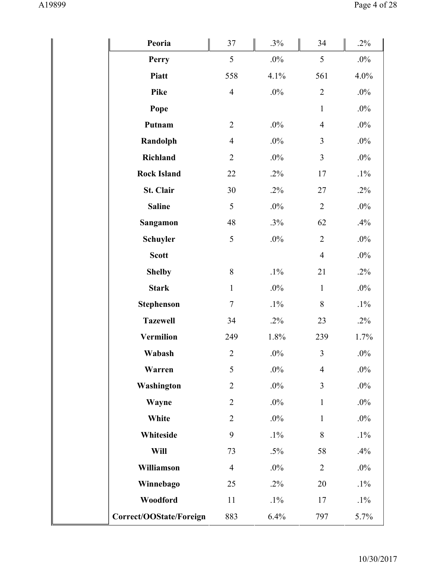| Peoria                  | 37             | $.3\%$  | 34             | $.2\%$ |
|-------------------------|----------------|---------|----------------|--------|
| Perry                   | 5              | $.0\%$  | 5              | $.0\%$ |
| Piatt                   | 558            | 4.1%    | 561            | 4.0%   |
| <b>Pike</b>             | $\overline{4}$ | $.0\%$  | $\overline{2}$ | $.0\%$ |
| Pope                    |                |         | $\mathbf{1}$   | $.0\%$ |
| Putnam                  | $\overline{2}$ | $.0\%$  | $\overline{4}$ | $.0\%$ |
| Randolph                | $\overline{4}$ | $.0\%$  | $\overline{3}$ | $.0\%$ |
| Richland                | $\overline{2}$ | $.0\%$  | $\mathfrak{Z}$ | $.0\%$ |
| <b>Rock Island</b>      | 22             | $.2\%$  | 17             | $.1\%$ |
| St. Clair               | 30             | $.2\%$  | 27             | $.2\%$ |
| <b>Saline</b>           | 5              | $.0\%$  | $\overline{2}$ | $.0\%$ |
| Sangamon                | 48             | .3%     | 62             | .4%    |
| <b>Schuyler</b>         | 5              | $.0\%$  | $\overline{2}$ | $.0\%$ |
| <b>Scott</b>            |                |         | $\overline{4}$ | $.0\%$ |
| <b>Shelby</b>           | 8              | $.1\%$  | 21             | $.2\%$ |
| <b>Stark</b>            | $\mathbf{1}$   | $.0\%$  | $\mathbf{1}$   | $.0\%$ |
| <b>Stephenson</b>       | $\overline{7}$ | $.1\%$  | 8              | $.1\%$ |
| <b>Tazewell</b>         | 34             | $.2\%$  | 23             | $.2\%$ |
| <b>Vermilion</b>        | 249            | $1.8\%$ | 239            | 1.7%   |
| Wabash                  | $\overline{c}$ | $.0\%$  | $\mathfrak{Z}$ | $.0\%$ |
| Warren                  | 5              | $.0\%$  | $\overline{4}$ | $.0\%$ |
| Washington              | $\overline{2}$ | $.0\%$  | 3              | $.0\%$ |
| Wayne                   | $\overline{2}$ | .0%     | $\mathbf{1}$   | $.0\%$ |
| White                   | $\overline{2}$ | $.0\%$  | $\mathbf{1}$   | $.0\%$ |
| Whiteside               | 9              | $.1\%$  | 8              | $.1\%$ |
| Will                    | 73             | $.5\%$  | 58             | .4%    |
| Williamson              | $\overline{4}$ | $.0\%$  | $\overline{2}$ | $.0\%$ |
| Winnebago               | 25             | $.2\%$  | 20             | $.1\%$ |
| Woodford                | 11             | $.1\%$  | 17             | $.1\%$ |
| Correct/OOState/Foreign | 883            | 6.4%    | 797            | 5.7%   |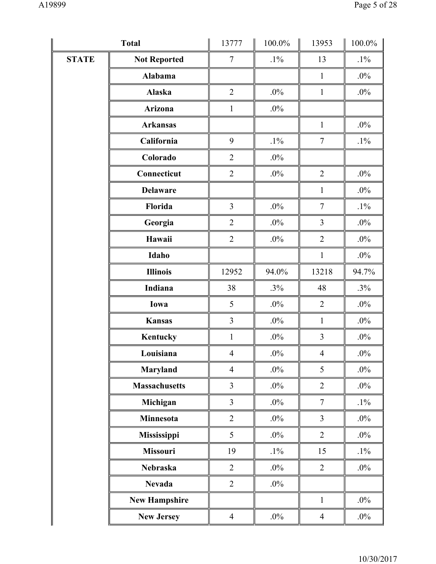|              | <b>Total</b>         | 13777          | $100.0\%$ | 13953          | $100.0\%$ |
|--------------|----------------------|----------------|-----------|----------------|-----------|
| <b>STATE</b> | <b>Not Reported</b>  | $\tau$         | $.1\%$    | 13             | $.1\%$    |
|              | Alabama              |                |           | $\mathbf{1}$   | $.0\%$    |
|              | Alaska               | $\overline{2}$ | $.0\%$    | $\mathbf{1}$   | $.0\%$    |
|              | Arizona              | $\mathbf{1}$   | $.0\%$    |                |           |
|              | <b>Arkansas</b>      |                |           | $\mathbf{1}$   | $.0\%$    |
|              | California           | 9              | $.1\%$    | $\tau$         | $.1\%$    |
|              | Colorado             | $\overline{2}$ | $.0\%$    |                |           |
|              | Connecticut          | $\overline{2}$ | $.0\%$    | $\overline{2}$ | $.0\%$    |
|              | <b>Delaware</b>      |                |           | $\mathbf{1}$   | $.0\%$    |
|              | Florida              | 3              | $.0\%$    | $\tau$         | $.1\%$    |
|              | Georgia              | $\overline{2}$ | $.0\%$    | 3              | $.0\%$    |
|              | Hawaii               | $\overline{2}$ | $.0\%$    | $\overline{2}$ | $.0\%$    |
|              | Idaho                |                |           | $\mathbf{1}$   | $.0\%$    |
|              | <b>Illinois</b>      | 12952          | 94.0%     | 13218          | 94.7%     |
|              | Indiana              | 38             | .3%       | 48             | $.3\%$    |
|              | Iowa                 | 5              | $.0\%$    | $\overline{2}$ | $.0\%$    |
|              | <b>Kansas</b>        | 3              | $.0\%$    | $\mathbf{1}$   | $.0\%$    |
|              | Kentucky             | $\mathbf{1}$   | $.0\%$    | $\mathfrak{Z}$ | $.0\%$    |
|              | Louisiana            | $\overline{4}$ | $.0\%$    | $\overline{4}$ | $.0\%$    |
|              | Maryland             | $\overline{4}$ | $.0\%$    | 5              | $.0\%$    |
|              | <b>Massachusetts</b> | $\overline{3}$ | $.0\%$    | $\overline{2}$ | $.0\%$    |
|              | Michigan             | $\overline{3}$ | $.0\%$    | $\tau$         | $.1\%$    |
|              | Minnesota            | $\overline{2}$ | $.0\%$    | $\overline{3}$ | $.0\%$    |
|              | Mississippi          | 5              | $.0\%$    | $\overline{2}$ | $.0\%$    |
|              | Missouri             | 19             | $.1\%$    | 15             | $.1\%$    |
|              | Nebraska             | $\overline{2}$ | $.0\%$    | $\overline{2}$ | $.0\%$    |
|              | <b>Nevada</b>        | $\overline{2}$ | $.0\%$    |                |           |
|              | <b>New Hampshire</b> |                |           | $\mathbf{1}$   | $.0\%$    |
|              | <b>New Jersey</b>    | $\overline{4}$ | $.0\%$    | $\overline{4}$ | $.0\%$    |
|              |                      |                |           |                |           |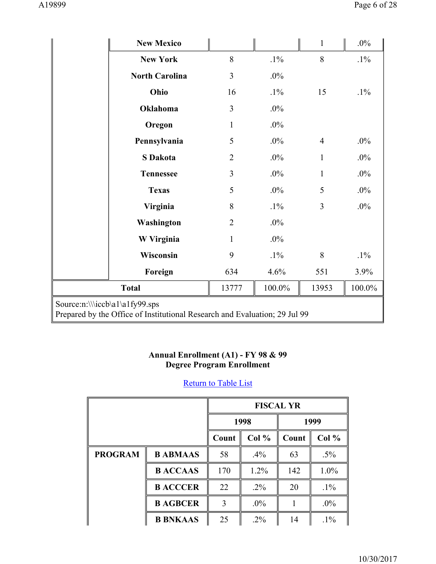|                                                                                                              | <b>New Mexico</b>     |                |        | $\mathbf{1}$   | $.0\%$    |  |
|--------------------------------------------------------------------------------------------------------------|-----------------------|----------------|--------|----------------|-----------|--|
|                                                                                                              | <b>New York</b>       | 8              | $.1\%$ | 8              | $.1\%$    |  |
|                                                                                                              | <b>North Carolina</b> | 3              | $.0\%$ |                |           |  |
|                                                                                                              | Ohio                  | 16             | $.1\%$ | 15             | $.1\%$    |  |
|                                                                                                              | Oklahoma              | $\overline{3}$ | $.0\%$ |                |           |  |
|                                                                                                              | Oregon                | $\mathbf{1}$   | $.0\%$ |                |           |  |
|                                                                                                              | Pennsylvania          | 5              | $.0\%$ | $\overline{4}$ | $.0\%$    |  |
|                                                                                                              | <b>S</b> Dakota       | $\overline{2}$ | $.0\%$ | $\mathbf{1}$   | $.0\%$    |  |
|                                                                                                              | <b>Tennessee</b>      | $\overline{3}$ | $.0\%$ | $\mathbf{1}$   | $.0\%$    |  |
|                                                                                                              | <b>Texas</b>          | 5              | .0%    | 5              | $.0\%$    |  |
|                                                                                                              | Virginia              | 8              | $.1\%$ | 3              | $.0\%$    |  |
|                                                                                                              | Washington            | $\overline{2}$ | $.0\%$ |                |           |  |
|                                                                                                              | W Virginia            | $\mathbf{1}$   | $.0\%$ |                |           |  |
|                                                                                                              | Wisconsin             | 9              | $.1\%$ | 8              | $.1\%$    |  |
|                                                                                                              | Foreign               | 634            | 4.6%   | 551            | 3.9%      |  |
|                                                                                                              | <b>Total</b>          | 13777          | 100.0% | 13953          | $100.0\%$ |  |
| Source:n:\\\iccb\a1\a1fy99.sps<br>Prepared by the Office of Institutional Research and Evaluation; 29 Jul 99 |                       |                |        |                |           |  |

#### **Annual Enrollment (A1) - FY 98 & 99 Degree Program Enrollment**

|                |                 | <b>FISCAL YR</b>        |        |       |        |
|----------------|-----------------|-------------------------|--------|-------|--------|
|                |                 |                         | 1998   |       | 1999   |
|                |                 | Col %<br>Count<br>Count |        | Col % |        |
| <b>PROGRAM</b> | <b>B ABMAAS</b> | 58                      | $.4\%$ | 63    | $.5\%$ |
|                | <b>BACCAAS</b>  | 170                     | 1.2%   | 142   | 1.0%   |
|                | <b>B ACCCER</b> | 22                      | $.2\%$ | 20    | $.1\%$ |
|                | <b>B AGBCER</b> | 3                       | $.0\%$ |       | $.0\%$ |
|                | <b>B BNKAAS</b> | 25                      | $.2\%$ | 14    | $.1\%$ |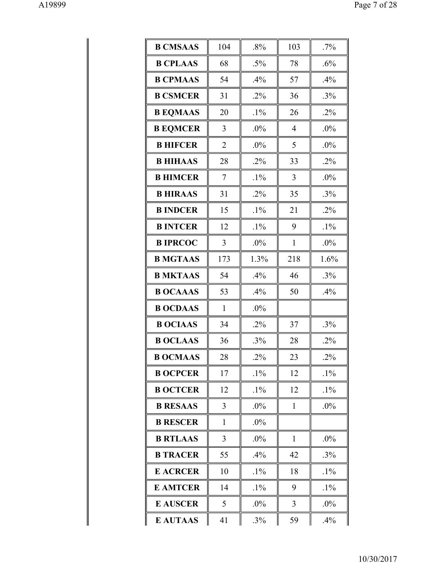| <b>B CMSAAS</b> | 104            | .8%    | 103            | $.7\%$ |
|-----------------|----------------|--------|----------------|--------|
| <b>B CPLAAS</b> | 68             | $.5\%$ | 78             | .6%    |
| <b>B CPMAAS</b> | 54             | .4%    | 57             | .4%    |
| <b>B CSMCER</b> | 31             | $.2\%$ | 36             | .3%    |
| <b>B EQMAAS</b> | 20             | $.1\%$ | 26             | $.2\%$ |
| <b>B EQMCER</b> | 3              | .0%    | $\overline{4}$ | .0%    |
| <b>B HIFCER</b> | $\overline{2}$ | $.0\%$ | 5              | $.0\%$ |
| <b>B HIHAAS</b> | 28             | $.2\%$ | 33             | $.2\%$ |
| <b>B HIMCER</b> | 7              | $.1\%$ | 3              | $.0\%$ |
| <b>B HIRAAS</b> | 31             | $.2\%$ | 35             | $.3\%$ |
| <b>B INDCER</b> | 15             | $.1\%$ | 21             | $.2\%$ |
| <b>B INTCER</b> | 12             | $.1\%$ | 9              | $.1\%$ |
| <b>B IPRCOC</b> | 3              | $.0\%$ | 1              | $.0\%$ |
| <b>B MGTAAS</b> | 173            | 1.3%   | 218            | 1.6%   |
| <b>B MKTAAS</b> | 54             | .4%    | 46             | $.3\%$ |
| <b>B OCAAAS</b> | 53             | .4%    | 50             | .4%    |
| <b>B OCDAAS</b> | $\mathbf{1}$   | .0%    |                |        |
| <b>B OCIAAS</b> | 34             | $.2\%$ | 37             | .3%    |
| <b>B OCLAAS</b> | 36             | .3%    | 28             | $.2\%$ |
| <b>B OCMAAS</b> | 28             | $.2\%$ | 23             | $.2\%$ |
| <b>B OCPCER</b> | 17             | $.1\%$ | 12             | $.1\%$ |
| <b>B OCTCER</b> | 12             | $.1\%$ | 12             | $.1\%$ |
| <b>B RESAAS</b> | 3              | $.0\%$ | 1              | $.0\%$ |
| <b>B RESCER</b> | $\mathbf{1}$   | $.0\%$ |                |        |
| <b>B RTLAAS</b> | 3              | $.0\%$ | 1              | $.0\%$ |
| <b>B TRACER</b> | 55             | .4%    | 42             | $.3\%$ |
| <b>E ACRCER</b> | 10             | $.1\%$ | 18             | $.1\%$ |
| <b>E AMTCER</b> | 14             | $.1\%$ | 9              | $.1\%$ |
| <b>E AUSCER</b> | 5              | $.0\%$ | 3              | $.0\%$ |
| <b>E AUTAAS</b> | 41             | .3%    | 59             | .4%    |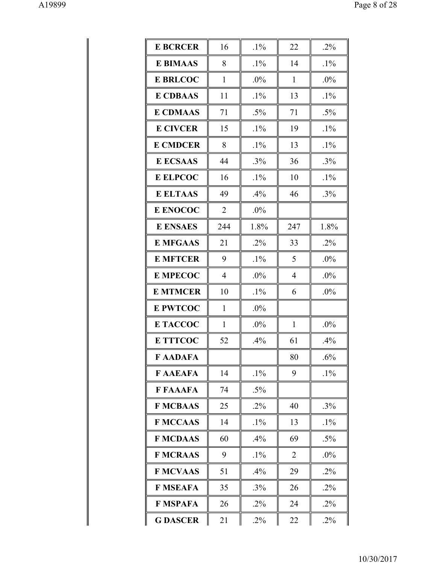| <b>E BCRCER</b> | 16             | $.1\%$ | 22             | $.2\%$ |
|-----------------|----------------|--------|----------------|--------|
| <b>E BIMAAS</b> | 8              | $.1\%$ | 14             | $.1\%$ |
| <b>E BRLCOC</b> | $\mathbf{1}$   | .0%    | $\mathbf{1}$   | .0%    |
| <b>E CDBAAS</b> | 11             | $.1\%$ | 13             | $.1\%$ |
| <b>E CDMAAS</b> | 71             | $.5\%$ | 71             | $.5\%$ |
| <b>E CIVCER</b> | 15             | $.1\%$ | 19             | $.1\%$ |
| <b>E CMDCER</b> | 8              | $.1\%$ | 13             | $.1\%$ |
| <b>E ECSAAS</b> | 44             | $.3\%$ | 36             | $.3\%$ |
| <b>E ELPCOC</b> | 16             | $.1\%$ | 10             | $.1\%$ |
| <b>E ELTAAS</b> | 49             | .4%    | 46             | $.3\%$ |
| <b>E ENOCOC</b> | $\overline{2}$ | $.0\%$ |                |        |
| <b>E ENSAES</b> | 244            | 1.8%   | 247            | 1.8%   |
| <b>E MFGAAS</b> | 21             | $.2\%$ | 33             | $.2\%$ |
| <b>E MFTCER</b> | 9              | $.1\%$ | 5              | .0%    |
| <b>E MPECOC</b> | $\overline{4}$ | .0%    | 4              | .0%    |
| <b>E MTMCER</b> | 10             | $.1\%$ | 6              | .0%    |
| <b>E PWTCOC</b> | 1              | .0%    |                |        |
| <b>E TACCOC</b> | 1              | .0%    | $\mathbf{1}$   | .0%    |
| <b>E TTTCOC</b> | 52             | .4%    | 61             | .4%    |
| <b>FAADAFA</b>  |                |        | 80             | .6%    |
| <b>F AAEAFA</b> | 14             | $.1\%$ | 9              | $.1\%$ |
| <b>F FAAAFA</b> | 74             | $.5\%$ |                |        |
| <b>F MCBAAS</b> | 25             | $.2\%$ | 40             | $.3\%$ |
| <b>F MCCAAS</b> | 14             | $.1\%$ | 13             | $.1\%$ |
| <b>F MCDAAS</b> | 60             | $.4\%$ | 69             | $.5\%$ |
| <b>F MCRAAS</b> | 9              | $.1\%$ | $\overline{2}$ | $.0\%$ |
| <b>F MCVAAS</b> | 51             | $.4\%$ | 29             | $.2\%$ |
| <b>F MSEAFA</b> | 35             | $.3\%$ | 26             | $.2\%$ |
| <b>F MSPAFA</b> | 26             | $.2\%$ | 24             | $.2\%$ |
|                 |                |        |                | $.2\%$ |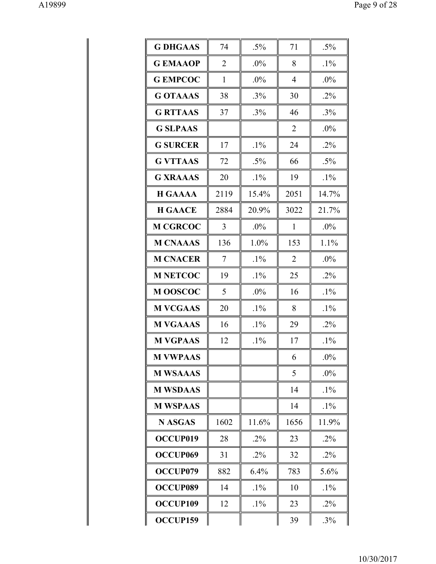| <b>G DHGAAS</b>      | 74             | $.5\%$ | 71             | $.5\%$ |
|----------------------|----------------|--------|----------------|--------|
| <b>GEMAAOP</b>       | $\overline{2}$ | $.0\%$ | 8              | $.1\%$ |
| <b>G EMPCOC</b>      | $\mathbf{1}$   | .0%    | 4              | $.0\%$ |
| <b>GOTAAAS</b>       | 38             | $.3\%$ | 30             | $.2\%$ |
| <b>G RTTAAS</b>      | 37             | $.3\%$ | 46             | $.3\%$ |
| <b>G SLPAAS</b>      |                |        | $\overline{2}$ | $.0\%$ |
| <b>G SURCER</b>      | 17             | $.1\%$ | 24             | $.2\%$ |
| <b>G VTTAAS</b>      | 72             | $.5\%$ | 66             | $.5\%$ |
| <b>G XRAAAS</b>      | 20             | $.1\%$ | 19             | $.1\%$ |
| <b>H GAAAA</b>       | 2119           | 15.4%  | 2051           | 14.7%  |
| <b>H GAACE</b>       | 2884           | 20.9%  | 3022           | 21.7%  |
| <b>M CGRCOC</b>      | 3              | $.0\%$ | $\mathbf{1}$   | $.0\%$ |
| <b>M CNAAAS</b>      | 136            | 1.0%   | 153            | 1.1%   |
| <b>M CNACER</b>      | 7              | $.1\%$ | $\overline{2}$ | $.0\%$ |
| <b>M NETCOC</b>      | 19             | $.1\%$ | 25             | $.2\%$ |
| <b>MOOSCOC</b>       | 5              | .0%    | 16             | $.1\%$ |
| <b>M VCGAAS</b>      | 20             | $.1\%$ | 8              | $.1\%$ |
| <b>M VGAAAS</b>      | 16             | $.1\%$ | 29             | $.2\%$ |
| <b>M VGPAAS</b>      | 12             | $.1\%$ | 17             | $.1\%$ |
| <b>M VWPAAS</b>      |                |        | 6              | $.0\%$ |
| <b>M WSAAAS</b>      |                |        | 5              | $.0\%$ |
| <b>M WSDAAS</b>      |                |        | 14             | $.1\%$ |
| <b>M WSPAAS</b>      |                |        | 14             | $.1\%$ |
| <b>N ASGAS</b>       | 1602           | 11.6%  | 1656           | 11.9%  |
| OCCUP019             | 28             | $.2\%$ | 23             | $.2\%$ |
| OCCUP <sub>069</sub> | 31             | $.2\%$ | 32             | $.2\%$ |
| OCCUP079             | 882            | 6.4%   | 783            | 5.6%   |
| <b>OCCUP089</b>      | 14             | $.1\%$ | 10             | $.1\%$ |
| <b>OCCUP109</b>      | 12             | $.1\%$ | 23             | $.2\%$ |
| OCCUP159             |                |        | 39             | $.3\%$ |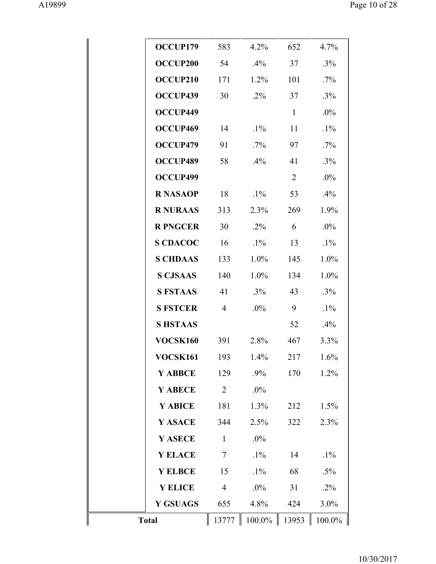| OCCUP179        | 583                      | $4.2\%$ | 652          | 4.7%    |
|-----------------|--------------------------|---------|--------------|---------|
| <b>OCCUP200</b> | 54                       | $.4\%$  | 37           | $.3\%$  |
| OCCUP210        | 171                      | 1.2%    | 101          | $.7\%$  |
| OCCUP439        | 30                       | $.2\%$  | 37           | $.3\%$  |
| OCCUP449        |                          |         | $\mathbf{1}$ | $.0\%$  |
| OCCUP469        | 14                       | $.1\%$  | 11           | $.1\%$  |
| OCCUP479        | 91                       | $.7\%$  | 97           | .7%     |
| OCCUP489        | 58                       | $.4\%$  | 41           | .3%     |
| OCCUP499        |                          |         | 2            | $.0\%$  |
| <b>R NASAOP</b> | 18                       | $.1\%$  | 53           | .4%     |
| <b>R NURAAS</b> | 313                      | 2.3%    | 269          | 1.9%    |
| <b>R PNGCER</b> | 30                       | $.2\%$  | 6            | $.0\%$  |
| <b>S CDACOC</b> | 16                       | $.1\%$  | 13           | $.1\%$  |
| <b>S CHDAAS</b> | 133                      | $1.0\%$ | 145          | 1.0%    |
| <b>S CJSAAS</b> | 140                      | $1.0\%$ | 134          | 1.0%    |
| <b>S FSTAAS</b> | 41                       | $.3\%$  | 43           | $.3\%$  |
| <b>S FSTCER</b> | $\overline{4}$           | $.0\%$  | 9            | $.1\%$  |
| <b>SHSTAAS</b>  |                          |         | 52           | $.4\%$  |
| VOCSK160        | 391                      | 2.8%    | 467          | 3.3%    |
| <b>VOCSK161</b> | 193                      | $1.4\%$ | 217          | 1.6%    |
| Y ABBCE         | 129                      | .9%     | 170          | 1.2%    |
| Y ABECE         | $\overline{2}$           | .0%     |              |         |
| Y ABICE         | 181                      | 1.3%    | 212          | 1.5%    |
| Y ASACE         | 344                      | 2.5%    | 322          | 2.3%    |
| Y ASECE         | $\mathbf{1}$             | .0%     |              |         |
| <b>Y ELACE</b>  | $\overline{\mathcal{L}}$ | $.1\%$  | 14           | $.1\%$  |
| Y ELBCE         | 15                       | $.1\%$  | 68           | $.5\%$  |
| <b>Y ELICE</b>  | $\overline{4}$           | .0%     | 31           | $.2\%$  |
| <b>Y GSUAGS</b> | 655                      | 4.8%    | 424          | $3.0\%$ |
| <b>Total</b>    | 13777                    | 100.0%  | 13953        | 100.0%  |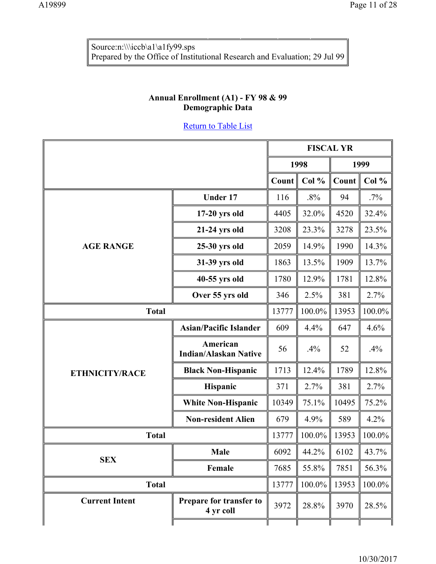Source:n:\\\iccb\a1\a1fy99.sps Prepared by the Office of Institutional Research and Evaluation; 29 Jul 99

## **Annual Enrollment (A1) - FY 98 & 99 Demographic Data**

|                       |                                          |              | <b>FISCAL YR</b> |       |        |
|-----------------------|------------------------------------------|--------------|------------------|-------|--------|
|                       |                                          | 1999<br>1998 |                  |       |        |
|                       |                                          | Count        | Col %            | Count | Col %  |
|                       | <b>Under 17</b>                          | 116          | $.8\%$           | 94    | $.7\%$ |
|                       | $17-20$ yrs old                          | 4405         | 32.0%            | 4520  | 32.4%  |
|                       | 21-24 yrs old                            | 3208         | 23.3%            | 3278  | 23.5%  |
| <b>AGE RANGE</b>      | 25-30 yrs old                            | 2059         | 14.9%            | 1990  | 14.3%  |
|                       | 31-39 yrs old                            | 1863         | 13.5%            | 1909  | 13.7%  |
|                       | 40-55 yrs old                            | 1780         | 12.9%            | 1781  | 12.8%  |
|                       | Over 55 yrs old                          | 346          | 2.5%             | 381   | 2.7%   |
| <b>Total</b>          |                                          | 13777        | 100.0%           | 13953 | 100.0% |
|                       | <b>Asian/Pacific Islander</b>            | 609          | 4.4%             | 647   | 4.6%   |
|                       | American<br><b>Indian/Alaskan Native</b> | 56           | .4%              | 52    | .4%    |
| <b>ETHNICITY/RACE</b> | <b>Black Non-Hispanic</b>                | 1713         | 12.4%            | 1789  | 12.8%  |
|                       | Hispanic                                 | 371          | 2.7%             | 381   | 2.7%   |
|                       | <b>White Non-Hispanic</b>                | 10349        | 75.1%            | 10495 | 75.2%  |
|                       | <b>Non-resident Alien</b>                | 679          | 4.9%             | 589   | 4.2%   |
| <b>Total</b>          |                                          | 13777        | 100.0%           | 13953 | 100.0% |
|                       | <b>Male</b>                              | 6092         | 44.2%            | 6102  | 43.7%  |
| <b>SEX</b>            | Female                                   | 7685         | 55.8%            | 7851  | 56.3%  |
| <b>Total</b>          |                                          | 13777        | 100.0%           | 13953 | 100.0% |
| <b>Current Intent</b> | Prepare for transfer to<br>4 yr coll     | 3972         | 28.8%            | 3970  | 28.5%  |
|                       |                                          |              |                  |       |        |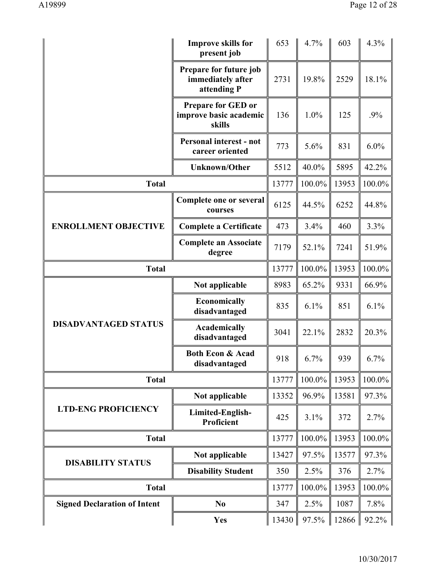|                                     | <b>Improve skills for</b><br>present job                      |       | 4.7%   | 603   | 4.3%   |
|-------------------------------------|---------------------------------------------------------------|-------|--------|-------|--------|
|                                     | Prepare for future job<br>immediately after<br>attending P    | 2731  | 19.8%  | 2529  | 18.1%  |
|                                     | <b>Prepare for GED or</b><br>improve basic academic<br>skills | 136   | 1.0%   | 125   | .9%    |
|                                     | Personal interest - not<br>career oriented                    | 773   | 5.6%   | 831   | 6.0%   |
|                                     | <b>Unknown/Other</b>                                          | 5512  | 40.0%  | 5895  | 42.2%  |
| <b>Total</b>                        |                                                               | 13777 | 100.0% | 13953 | 100.0% |
|                                     | Complete one or several<br>courses                            | 6125  | 44.5%  | 6252  | 44.8%  |
| <b>ENROLLMENT OBJECTIVE</b>         | <b>Complete a Certificate</b>                                 | 473   | 3.4%   | 460   | 3.3%   |
|                                     | <b>Complete an Associate</b><br>degree                        | 7179  | 52.1%  | 7241  | 51.9%  |
| <b>Total</b>                        |                                                               | 13777 | 100.0% | 13953 | 100.0% |
| Not applicable                      |                                                               | 8983  | 65.2%  | 9331  | 66.9%  |
|                                     | Economically<br>disadvantaged                                 | 835   | 6.1%   | 851   | 6.1%   |
| <b>DISADVANTAGED STATUS</b>         | Academically<br>disadvantaged                                 | 3041  | 22.1%  | 2832  | 20.3%  |
|                                     | <b>Both Econ &amp; Acad</b><br>disadvantaged                  | 918   | 6.7%   | 939   | 6.7%   |
| <b>Total</b>                        |                                                               | 13777 | 100.0% | 13953 | 100.0% |
|                                     | Not applicable                                                | 13352 | 96.9%  | 13581 | 97.3%  |
| <b>LTD-ENG PROFICIENCY</b>          | Limited-English-<br>Proficient                                | 425   | 3.1%   | 372   | 2.7%   |
| <b>Total</b>                        |                                                               | 13777 | 100.0% | 13953 | 100.0% |
| <b>DISABILITY STATUS</b>            | Not applicable                                                | 13427 | 97.5%  | 13577 | 97.3%  |
|                                     | <b>Disability Student</b>                                     | 350   | 2.5%   | 376   | 2.7%   |
| <b>Total</b>                        |                                                               | 13777 | 100.0% | 13953 | 100.0% |
| <b>Signed Declaration of Intent</b> | N <sub>0</sub>                                                | 347   | 2.5%   | 1087  | 7.8%   |
|                                     | <b>Yes</b>                                                    | 13430 | 97.5%  | 12866 | 92.2%  |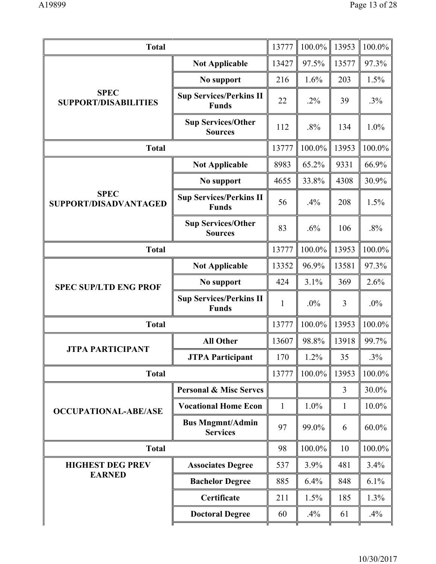| <b>Total</b>                               |                                                | 13777        | 100.0% | 13953        | 100.0%    |
|--------------------------------------------|------------------------------------------------|--------------|--------|--------------|-----------|
|                                            | <b>Not Applicable</b>                          | 13427        | 97.5%  | 13577        | 97.3%     |
|                                            | No support                                     | 216          | 1.6%   | 203          | 1.5%      |
| <b>SPEC</b><br><b>SUPPORT/DISABILITIES</b> | <b>Sup Services/Perkins II</b><br><b>Funds</b> | 22           | $.2\%$ | 39           | .3%       |
|                                            | <b>Sup Services/Other</b><br><b>Sources</b>    | 112          | .8%    | 134          | 1.0%      |
| <b>Total</b>                               |                                                | 13777        | 100.0% | 13953        | 100.0%    |
| <b>Not Applicable</b><br>No support        |                                                | 8983         | 65.2%  | 9331         | 66.9%     |
|                                            |                                                | 4655         | 33.8%  | 4308         | 30.9%     |
| <b>SPEC</b><br>SUPPORT/DISADVANTAGED       | <b>Sup Services/Perkins II</b><br><b>Funds</b> | 56           | .4%    | 208          | 1.5%      |
|                                            | <b>Sup Services/Other</b><br><b>Sources</b>    | 83           | .6%    | 106          | .8%       |
| <b>Total</b>                               |                                                | 13777        | 100.0% | 13953        | 100.0%    |
| <b>SPEC SUP/LTD ENG PROF</b>               | <b>Not Applicable</b>                          | 13352        | 96.9%  | 13581        | 97.3%     |
|                                            | No support                                     | 424          | 3.1%   | 369          | 2.6%      |
|                                            | <b>Sup Services/Perkins II</b><br><b>Funds</b> | $\mathbf{1}$ | .0%    | 3            | .0%       |
| <b>Total</b>                               |                                                | 13777        | 100.0% | 13953        | 100.0%    |
|                                            | <b>All Other</b>                               | 13607        | 98.8%  | 13918        | 99.7%     |
| <b>JTPA PARTICIPANT</b>                    | <b>JTPA Participant</b>                        | 170          | 1.2%   | 35           | .3%       |
| <b>Total</b>                               |                                                | 13777        | 100.0% | 13953        | 100.0%    |
|                                            | <b>Personal &amp; Misc Serves</b>              |              |        | 3            | 30.0%     |
| <b>OCCUPATIONAL-ABE/ASE</b>                | <b>Vocational Home Econ</b>                    | $\mathbf{1}$ | 1.0%   | $\mathbf{1}$ | 10.0%     |
|                                            | <b>Bus Mngmnt/Admin</b><br><b>Services</b>     | 97           | 99.0%  | 6            | $60.0\%$  |
| <b>Total</b>                               |                                                | 98           | 100.0% | 10           | 100.0%    |
| <b>HIGHEST DEG PREV</b>                    | <b>Associates Degree</b>                       | 537          | 3.9%   | 481          | 3.4%      |
| <b>EARNED</b>                              | <b>Bachelor Degree</b>                         | 885          | 6.4%   | 848          | 6.1%      |
|                                            | Certificate                                    | 211          | 1.5%   | 185          | 1.3%      |
|                                            | <b>Doctoral Degree</b>                         | 60           | .4%    | 61           | .4%<br>тг |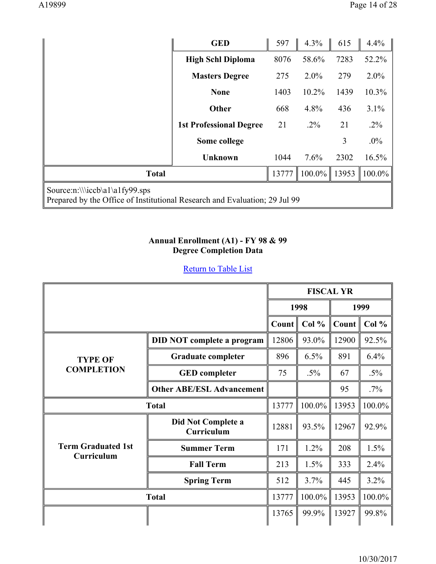|                                                                                                              | <b>GED</b>                     | 597   | 4.3%    | 615   | 4.4%    |  |  |
|--------------------------------------------------------------------------------------------------------------|--------------------------------|-------|---------|-------|---------|--|--|
|                                                                                                              | <b>High Schl Diploma</b>       | 8076  | 58.6%   | 7283  | 52.2%   |  |  |
|                                                                                                              | <b>Masters Degree</b>          | 275   | $2.0\%$ | 279   | $2.0\%$ |  |  |
|                                                                                                              | <b>None</b>                    | 1403  | 10.2%   | 1439  | 10.3%   |  |  |
|                                                                                                              | <b>Other</b>                   | 668   | 4.8%    | 436   | 3.1%    |  |  |
|                                                                                                              | <b>1st Professional Degree</b> | 21    | $.2\%$  | 21    | $.2\%$  |  |  |
|                                                                                                              | Some college                   |       |         | 3     | $.0\%$  |  |  |
|                                                                                                              | <b>Unknown</b>                 | 1044  | 7.6%    | 2302  | 16.5%   |  |  |
| <b>Total</b>                                                                                                 |                                | 13777 | 100.0%  | 13953 | 100.0%  |  |  |
| Source:n:\\\iccb\a1\a1fy99.sps<br>Prepared by the Office of Institutional Research and Evaluation; 29 Jul 99 |                                |       |         |       |         |  |  |

#### **Annual Enrollment (A1) - FY 98 & 99 Degree Completion Data**

|  | <b>Return to Table List</b> |  |  |  |  |  |
|--|-----------------------------|--|--|--|--|--|
|--|-----------------------------|--|--|--|--|--|

|                                         |                                   | <b>FISCAL YR</b> |        |                   |        |
|-----------------------------------------|-----------------------------------|------------------|--------|-------------------|--------|
|                                         |                                   |                  | 1998   |                   | 1999   |
|                                         |                                   | Count            | Col %  | Count $\parallel$ | Col %  |
|                                         | <b>DID NOT complete a program</b> | 12806            | 93.0%  | 12900             | 92.5%  |
| <b>TYPE OF</b>                          | <b>Graduate completer</b>         | 896              | 6.5%   | 891               | 6.4%   |
| <b>COMPLETION</b>                       | <b>GED</b> completer              | 75               | $.5\%$ | 67                | $.5\%$ |
|                                         | <b>Other ABE/ESL Advancement</b>  |                  |        | 95                | $.7\%$ |
| <b>Total</b>                            |                                   | 13777            | 100.0% | 13953             | 100.0% |
|                                         | Did Not Complete a<br>Curriculum  | 12881            | 93.5%  | 12967             | 92.9%  |
| <b>Term Graduated 1st</b><br>Curriculum | <b>Summer Term</b>                | 171              | 1.2%   | 208               | 1.5%   |
|                                         | <b>Fall Term</b>                  | 213              | 1.5%   | 333               | 2.4%   |
|                                         | <b>Spring Term</b>                | 512              | 3.7%   | 445               | 3.2%   |
| <b>Total</b>                            |                                   | 13777            | 100.0% | 13953             | 100.0% |
|                                         |                                   | 13765            | 99.9%  | 13927             | 99.8%  |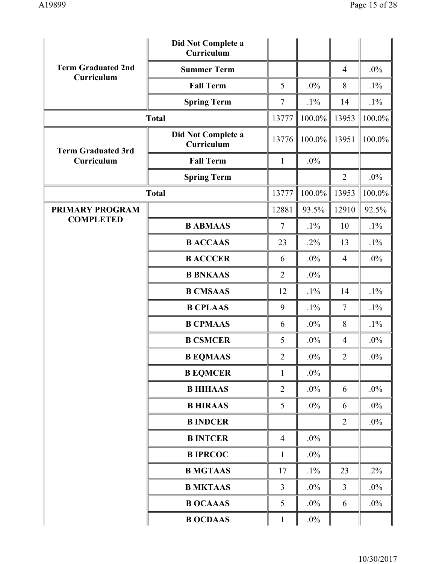|                           | Did Not Complete a<br>Curriculum |                          |        |                |        |
|---------------------------|----------------------------------|--------------------------|--------|----------------|--------|
| <b>Term Graduated 2nd</b> | <b>Summer Term</b>               |                          |        | $\overline{4}$ | $.0\%$ |
| Curriculum                | <b>Fall Term</b>                 | 5                        | .0%    | 8              | $.1\%$ |
|                           | <b>Spring Term</b>               | $\tau$                   | $.1\%$ | 14             | $.1\%$ |
|                           | <b>Total</b>                     | 13777                    | 100.0% | 13953          | 100.0% |
| <b>Term Graduated 3rd</b> | Did Not Complete a<br>Curriculum | 13776                    | 100.0% | 13951          | 100.0% |
| Curriculum                | <b>Fall Term</b>                 | $\mathbf{1}$             | .0%    |                |        |
|                           | <b>Spring Term</b>               |                          |        | $\overline{2}$ | $.0\%$ |
|                           | <b>Total</b>                     | 13777                    | 100.0% | 13953          | 100.0% |
| PRIMARY PROGRAM           |                                  | 12881                    | 93.5%  | 12910          | 92.5%  |
| <b>COMPLETED</b>          | <b>B ABMAAS</b>                  | $\overline{\mathcal{L}}$ | $.1\%$ | 10             | $.1\%$ |
|                           | <b>B ACCAAS</b>                  | 23                       | $.2\%$ | 13             | $.1\%$ |
|                           | <b>B ACCCER</b>                  | 6                        | $.0\%$ | $\overline{4}$ | $.0\%$ |
|                           | <b>B BNKAAS</b>                  | $\overline{2}$           | $.0\%$ |                |        |
|                           | <b>B CMSAAS</b>                  | 12                       | $.1\%$ | 14             | $.1\%$ |
|                           | <b>B CPLAAS</b>                  | 9                        | $.1\%$ | 7              | $.1\%$ |
|                           | <b>B CPMAAS</b>                  | 6                        | $.0\%$ | 8              | $.1\%$ |
|                           | <b>B CSMCER</b>                  | 5                        | .0%    | 4              | $.0\%$ |
|                           | <b>B EQMAAS</b>                  | $\overline{2}$           | $.0\%$ | $\overline{2}$ | $.0\%$ |
|                           | <b>B EQMCER</b>                  | $\mathbf{1}$             | $.0\%$ |                |        |
|                           | <b>B HIHAAS</b>                  | 2                        | $.0\%$ | 6              | $.0\%$ |
|                           | <b>B HIRAAS</b>                  | 5                        | $.0\%$ | 6              | $.0\%$ |
|                           | <b>B INDCER</b>                  |                          |        | $\overline{2}$ | $.0\%$ |
|                           | <b>B INTCER</b>                  | $\overline{4}$           | $.0\%$ |                |        |
|                           | <b>B IPRCOC</b>                  | $\mathbf{1}$             | $.0\%$ |                |        |
|                           | <b>B MGTAAS</b>                  | 17                       | $.1\%$ | 23             | $.2\%$ |
|                           | <b>B MKTAAS</b>                  | $\overline{3}$           | $.0\%$ | 3              | $.0\%$ |
|                           | <b>B OCAAAS</b>                  | 5                        | $.0\%$ | 6              | $.0\%$ |
|                           | <b>B OCDAAS</b>                  | $\mathbf{1}$             | $.0\%$ |                |        |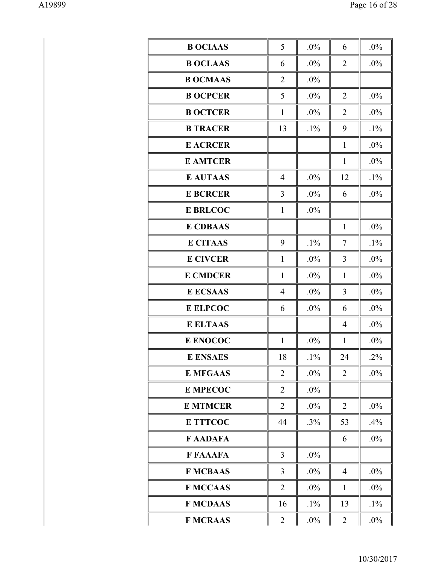| <b>B OCIAAS</b> | 5              | .0%    | 6              | $.0\%$ |
|-----------------|----------------|--------|----------------|--------|
| <b>B OCLAAS</b> | 6              | .0%    | $\overline{2}$ | .0%    |
| <b>B OCMAAS</b> | $\overline{2}$ | .0%    |                |        |
| <b>B OCPCER</b> | 5              | .0%    | $\overline{2}$ | .0%    |
| <b>B OCTCER</b> | $\mathbf{1}$   | .0%    | $\overline{2}$ | .0%    |
| <b>B TRACER</b> | 13             | $.1\%$ | 9              | $.1\%$ |
| <b>E ACRCER</b> |                |        | $\mathbf{1}$   | .0%    |
| <b>E AMTCER</b> |                |        | $\mathbf{1}$   | .0%    |
| <b>E AUTAAS</b> | $\overline{4}$ | .0%    | 12             | $.1\%$ |
| <b>E BCRCER</b> | 3              | .0%    | 6              | .0%    |
| <b>E BRLCOC</b> | $\mathbf{1}$   | .0%    |                |        |
| <b>E CDBAAS</b> |                |        | $\mathbf{1}$   | .0%    |
| <b>E CITAAS</b> | 9              | $.1\%$ | 7              | $.1\%$ |
| <b>E CIVCER</b> | $\mathbf{1}$   | .0%    | 3              | .0%    |
| <b>E CMDCER</b> | $\mathbf{1}$   | .0%    | $\mathbf{1}$   | .0%    |
| <b>E ECSAAS</b> | $\overline{4}$ | .0%    | 3              | .0%    |
| <b>E ELPCOC</b> | 6              | .0%    | 6              | .0%    |
| <b>E ELTAAS</b> |                |        | 4              | .0%    |
| <b>E ENOCOC</b> | $\mathbf{1}$   | .0%    | $\mathbf{1}$   | .0%    |
| <b>E ENSAES</b> | 18             | $.1\%$ | 24             | $.2\%$ |
| <b>E MFGAAS</b> | $\overline{2}$ | $.0\%$ | $\overline{2}$ | $.0\%$ |
| <b>E MPECOC</b> | $\overline{2}$ | $.0\%$ |                |        |
| <b>E MTMCER</b> | 2              | $.0\%$ | $\overline{2}$ | $.0\%$ |
| <b>E TTTCOC</b> | 44             | .3%    | 53             | .4%    |
| <b>FAADAFA</b>  |                |        | 6              | $.0\%$ |
| <b>F FAAAFA</b> | $\overline{3}$ | $.0\%$ |                |        |
| <b>F MCBAAS</b> | $\overline{3}$ | $.0\%$ | $\overline{4}$ | $.0\%$ |
| <b>FMCCAAS</b>  | $\overline{2}$ | $.0\%$ | $\mathbf{1}$   | $.0\%$ |
| <b>F MCDAAS</b> | 16             | $.1\%$ | 13             | $.1\%$ |
| <b>F MCRAAS</b> | $\overline{2}$ | $.0\%$ | $\overline{2}$ | $.0\%$ |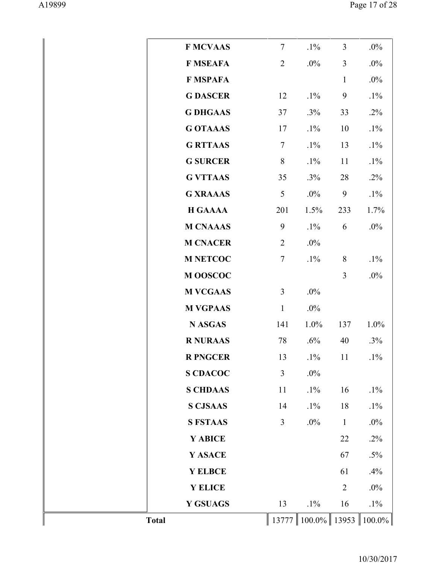|              | <b>F MCVAAS</b> | $\overline{7}$ | $.1\%$    | $\overline{3}$ | $.0\%$    |
|--------------|-----------------|----------------|-----------|----------------|-----------|
|              | <b>F MSEAFA</b> | $\overline{2}$ | .0%       | $\overline{3}$ | $.0\%$    |
|              | <b>F MSPAFA</b> |                |           | $\mathbf{1}$   | $.0\%$    |
|              | <b>G DASCER</b> | 12             | $.1\%$    | 9              | $.1\%$    |
|              | <b>G DHGAAS</b> | 37             | $.3\%$    | 33             | $.2\%$    |
|              | <b>G OTAAAS</b> | 17             | $.1\%$    | 10             | $.1\%$    |
|              | <b>G RTTAAS</b> | $\tau$         | $.1\%$    | 13             | $.1\%$    |
|              | <b>G SURCER</b> | 8              | $.1\%$    | 11             | $.1\%$    |
|              | <b>G VTTAAS</b> | 35             | .3%       | 28             | .2%       |
|              | <b>G XRAAAS</b> | 5              | $.0\%$    | 9              | $.1\%$    |
|              | <b>H GAAAA</b>  | 201            | 1.5%      | 233            | 1.7%      |
|              | <b>M CNAAAS</b> | 9              | $.1\%$    | 6              | $.0\%$    |
|              | <b>M CNACER</b> | $\overline{2}$ | .0%       |                |           |
|              | <b>M NETCOC</b> | $\overline{7}$ | $.1\%$    | 8              | $.1\%$    |
|              | M OOSCOC        |                |           | 3              | $.0\%$    |
|              | <b>M VCGAAS</b> | 3              | $.0\%$    |                |           |
|              | <b>M VGPAAS</b> | $\mathbf{1}$   | .0%       |                |           |
|              | <b>N ASGAS</b>  | 141            | 1.0%      | 137            | 1.0%      |
|              | <b>R NURAAS</b> | 78             | .6%       | 40             | .3%       |
|              | <b>R PNGCER</b> | 13             | $.1\%$    | 11             | $.1\%$    |
|              | <b>S CDACOC</b> | 3              | $.0\%$    |                |           |
|              | <b>S CHDAAS</b> | 11             | $.1\%$    | 16             | $.1\%$    |
|              | <b>S CJSAAS</b> | 14             | $.1\%$    | 18             | $.1\%$    |
|              | <b>S FSTAAS</b> | 3              | $.0\%$    | $\mathbf{1}$   | $.0\%$    |
|              | Y ABICE         |                |           | 22             | $.2\%$    |
|              | Y ASACE         |                |           | 67             | $.5\%$    |
|              | Y ELBCE         |                |           | 61             | .4%       |
|              | Y ELICE         |                |           | $\overline{2}$ | $.0\%$    |
|              | Y GSUAGS        | 13             | $.1\%$    | 16             | $.1\%$    |
| <b>Total</b> |                 | 13777          | $100.0\%$ | 13953          | $100.0\%$ |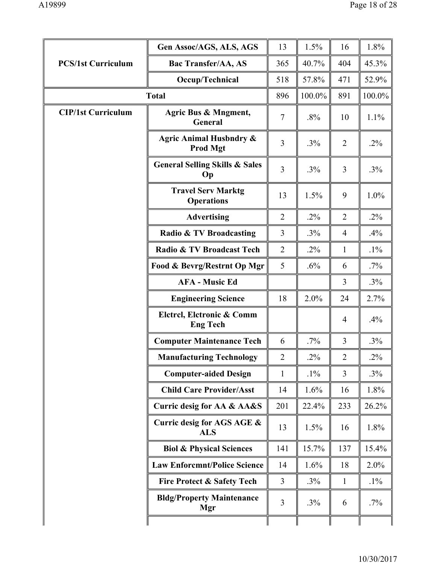|                           | Gen Assoc/AGS, ALS, AGS                               | 13             | 1.5%   | 16             | 1.8%   |
|---------------------------|-------------------------------------------------------|----------------|--------|----------------|--------|
| <b>PCS/1st Curriculum</b> | <b>Bac Transfer/AA, AS</b>                            | 365            | 40.7%  | 404            | 45.3%  |
|                           | Occup/Technical                                       | 518            | 57.8%  | 471            | 52.9%  |
|                           | <b>Total</b>                                          | 896            | 100.0% | 891            | 100.0% |
| <b>CIP/1st Curriculum</b> | Agric Bus & Mngment,<br>General                       | $\overline{7}$ | .8%    | 10             | 1.1%   |
|                           | <b>Agric Animal Husbndry &amp;</b><br><b>Prod Mgt</b> | 3              | .3%    | $\overline{2}$ | $.2\%$ |
|                           | <b>General Selling Skills &amp; Sales</b><br>Op       | $\overline{3}$ | .3%    | 3              | .3%    |
|                           | <b>Travel Serv Marktg</b><br><b>Operations</b>        | 13             | 1.5%   | 9              | 1.0%   |
|                           | <b>Advertising</b>                                    | $\overline{2}$ | $.2\%$ | $\overline{2}$ | $.2\%$ |
|                           | Radio & TV Broadcasting                               | 3              | .3%    | $\overline{4}$ | .4%    |
|                           | Radio & TV Broadcast Tech                             | $\overline{2}$ | $.2\%$ | 1              | $.1\%$ |
|                           | Food & Bevrg/Restrnt Op Mgr                           | 5              | .6%    | 6              | $.7\%$ |
|                           | <b>AFA - Music Ed</b>                                 |                |        | 3              | $.3\%$ |
|                           | <b>Engineering Science</b>                            | 18             | 2.0%   | 24             | 2.7%   |
|                           | Elctrcl, Elctronic & Comm<br><b>Eng Tech</b>          |                |        | $\overline{4}$ | .4%    |
|                           | <b>Computer Maintenance Tech</b>                      | 6              | .7%    | $\overline{3}$ | $.3\%$ |
|                           | <b>Manufacturing Technology</b>                       | $\overline{2}$ | .2%    | $\overline{2}$ | $.2\%$ |
|                           | <b>Computer-aided Design</b>                          | $\mathbf{1}$   | $.1\%$ | 3              | $.3\%$ |
|                           | <b>Child Care Provider/Asst</b>                       | 14             | 1.6%   | 16             | 1.8%   |
|                           | Curric desig for AA & AA&S                            | 201            | 22.4%  | 233            | 26.2%  |
|                           | Curric desig for AGS AGE &<br><b>ALS</b>              | 13             | 1.5%   | 16             | 1.8%   |
|                           | <b>Biol &amp; Physical Sciences</b>                   | 141            | 15.7%  | 137            | 15.4%  |
|                           | <b>Law Enforcmnt/Police Science</b>                   | 14             | 1.6%   | 18             | 2.0%   |
|                           | <b>Fire Protect &amp; Safety Tech</b>                 | $\overline{3}$ | .3%    | $\mathbf{1}$   | $.1\%$ |
|                           | <b>Bldg/Property Maintenance</b><br>Mgr               | 3              | $.3\%$ | 6              | $.7\%$ |
|                           |                                                       |                |        |                |        |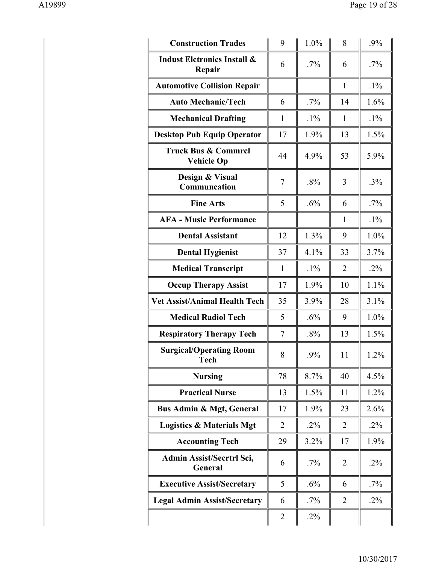| <b>Construction Trades</b>                          | 9              | 1.0%   | 8              | .9%    |
|-----------------------------------------------------|----------------|--------|----------------|--------|
| <b>Indust Eletronics Install &amp;</b><br>Repair    | 6              | $.7\%$ | 6              | $.7\%$ |
| <b>Automotive Collision Repair</b>                  |                |        | $\mathbf{1}$   | $.1\%$ |
| <b>Auto Mechanic/Tech</b>                           | 6              | $.7\%$ | 14             | 1.6%   |
| <b>Mechanical Drafting</b>                          | 1              | $.1\%$ | 1              | $.1\%$ |
| <b>Desktop Pub Equip Operator</b>                   | 17             | 1.9%   | 13             | 1.5%   |
| <b>Truck Bus &amp; Commrcl</b><br><b>Vehicle Op</b> | 44             | 4.9%   | 53             | 5.9%   |
| Design & Visual<br>Communcation                     | $\tau$         | .8%    | 3              | .3%    |
| <b>Fine Arts</b>                                    | 5              | .6%    | 6              | $.7\%$ |
| <b>AFA - Music Performance</b>                      |                |        | 1              | $.1\%$ |
| <b>Dental Assistant</b>                             | 12             | 1.3%   | 9              | 1.0%   |
| <b>Dental Hygienist</b>                             | 37             | 4.1%   | 33             | 3.7%   |
| <b>Medical Transcript</b>                           | $\mathbf{1}$   | $.1\%$ | $\overline{2}$ | $.2\%$ |
| <b>Occup Therapy Assist</b>                         | 17             | 1.9%   | 10             | 1.1%   |
| <b>Vet Assist/Animal Health Tech</b>                | 35             | 3.9%   | 28             | 3.1%   |
| <b>Medical Radiol Tech</b>                          | 5              | .6%    | 9              | 1.0%   |
| <b>Respiratory Therapy Tech</b>                     | $\overline{7}$ | .8%    | 13             | 1.5%   |
| <b>Surgical/Operating Room</b><br><b>Tech</b>       | 8              | .9%    | 11             | 1.2%   |
| <b>Nursing</b>                                      | 78             | 8.7%   | 40             | 4.5%   |
| <b>Practical Nurse</b>                              | 13             | 1.5%   | 11             | 1.2%   |
| <b>Bus Admin &amp; Mgt, General</b>                 | 17             | 1.9%   | 23             | 2.6%   |
| <b>Logistics &amp; Materials Mgt</b>                | $\overline{2}$ | $.2\%$ | 2              | $.2\%$ |
| <b>Accounting Tech</b>                              | 29             | 3.2%   | 17             | 1.9%   |
| Admin Assist/Secrtrl Sci,<br><b>General</b>         | 6              | $.7\%$ | 2              | $.2\%$ |
| <b>Executive Assist/Secretary</b>                   | 5              | .6%    | 6              | $.7\%$ |
| <b>Legal Admin Assist/Secretary</b>                 | 6              | $.7\%$ | $\overline{2}$ | $.2\%$ |
|                                                     | $\overline{2}$ | $.2\%$ |                |        |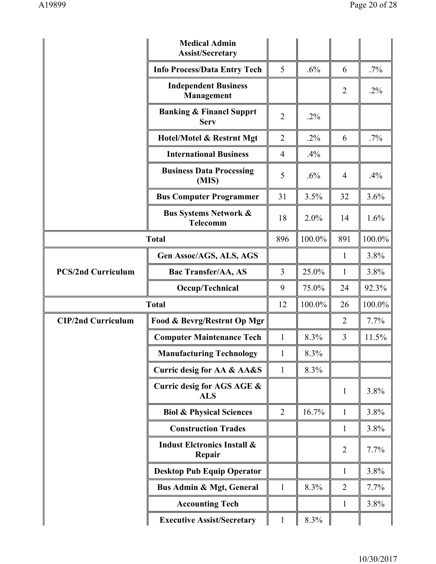|                           | <b>Medical Admin</b><br><b>Assist/Secretary</b>     |                |        |                |        |
|---------------------------|-----------------------------------------------------|----------------|--------|----------------|--------|
|                           | <b>Info Process/Data Entry Tech</b>                 | 5              | .6%    | 6              | $.7\%$ |
|                           | <b>Independent Business</b><br>Management           |                |        | $\overline{2}$ | $.2\%$ |
|                           | <b>Banking &amp; Financl Supprt</b><br><b>Serv</b>  | $\overline{2}$ | $.2\%$ |                |        |
|                           | Hotel/Motel & Restrnt Mgt                           | $\overline{2}$ | $.2\%$ | 6              | $.7\%$ |
|                           | <b>International Business</b>                       | $\overline{4}$ | .4%    |                |        |
|                           | <b>Business Data Processing</b><br>(MIS)            | 5              | .6%    | $\overline{4}$ | .4%    |
|                           | <b>Bus Computer Programmer</b>                      | 31             | 3.5%   | 32             | 3.6%   |
|                           | <b>Bus Systems Network &amp;</b><br><b>Telecomm</b> | 18             | 2.0%   | 14             | 1.6%   |
| <b>Total</b>              |                                                     | 896            | 100.0% | 891            | 100.0% |
|                           | Gen Assoc/AGS, ALS, AGS                             |                |        | $\mathbf{1}$   | 3.8%   |
| <b>PCS/2nd Curriculum</b> | <b>Bac Transfer/AA, AS</b>                          | 3              | 25.0%  | $\mathbf{1}$   | 3.8%   |
|                           | Occup/Technical                                     | 9              | 75.0%  | 24             | 92.3%  |
|                           | <b>Total</b>                                        | 12             | 100.0% | 26             | 100.0% |
| <b>CIP/2nd Curriculum</b> | Food & Bevrg/Restrnt Op Mgr                         |                |        | $\overline{2}$ | 7.7%   |
|                           | <b>Computer Maintenance Tech</b>                    | $\mathbf{1}$   | 8.3%   | 3              | 11.5%  |
|                           | <b>Manufacturing Technology</b>                     | $\mathbf{1}$   | 8.3%   |                |        |
|                           | Curric desig for AA & AA&S                          | $\mathbf{1}$   | 8.3%   |                |        |
|                           | Curric desig for AGS AGE &<br><b>ALS</b>            |                |        | $\mathbf{1}$   | 3.8%   |
|                           | <b>Biol &amp; Physical Sciences</b>                 | $\overline{2}$ | 16.7%  | $\mathbf{1}$   | 3.8%   |
|                           | <b>Construction Trades</b>                          |                |        | $\mathbf{1}$   | 3.8%   |
|                           | <b>Indust Eletronics Install &amp;</b><br>Repair    |                |        | $\overline{2}$ | 7.7%   |
|                           | <b>Desktop Pub Equip Operator</b>                   |                |        | $\mathbf{1}$   | 3.8%   |
|                           | <b>Bus Admin &amp; Mgt, General</b>                 | $\mathbf{1}$   | 8.3%   | $\overline{2}$ | 7.7%   |
|                           | <b>Accounting Tech</b>                              |                |        | $\mathbf{1}$   | 3.8%   |
|                           | <b>Executive Assist/Secretary</b>                   | $\mathbf{1}$   | 8.3%   |                |        |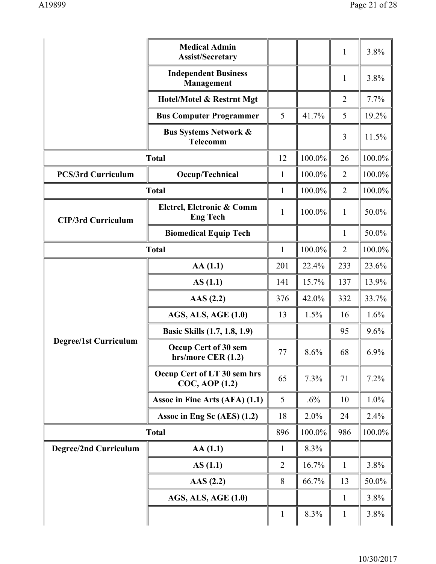|                              | <b>Medical Admin</b><br><b>Assist/Secretary</b>     |                |        | $\mathbf{1}$   | 3.8%    |
|------------------------------|-----------------------------------------------------|----------------|--------|----------------|---------|
|                              | <b>Independent Business</b><br>Management           |                |        | $\mathbf{1}$   | 3.8%    |
|                              | Hotel/Motel & Restrnt Mgt                           |                |        | $\overline{2}$ | 7.7%    |
|                              | <b>Bus Computer Programmer</b>                      | 5              | 41.7%  | 5              | 19.2%   |
|                              | <b>Bus Systems Network &amp;</b><br><b>Telecomm</b> |                |        | 3              | 11.5%   |
|                              | <b>Total</b>                                        | 12             | 100.0% | 26             | 100.0%  |
| <b>PCS/3rd Curriculum</b>    | Occup/Technical                                     | $\mathbf{1}$   | 100.0% | $\overline{2}$ | 100.0%  |
|                              | <b>Total</b>                                        | $\mathbf{1}$   | 100.0% | $\overline{2}$ | 100.0%  |
| <b>CIP/3rd Curriculum</b>    | Elctrcl, Elctronic & Comm<br><b>Eng Tech</b>        | $\mathbf{1}$   | 100.0% | $\mathbf{1}$   | 50.0%   |
|                              | <b>Biomedical Equip Tech</b>                        |                |        | $\mathbf{1}$   | 50.0%   |
|                              | <b>Total</b>                                        | $\mathbf{1}$   | 100.0% | $\overline{2}$ | 100.0%  |
|                              | AA(1.1)                                             | 201            | 22.4%  | 233            | 23.6%   |
|                              | AS(1.1)                                             | 141            | 15.7%  | 137            | 13.9%   |
|                              | AAS(2.2)                                            | 376            | 42.0%  | 332            | 33.7%   |
|                              | AGS, ALS, AGE (1.0)                                 | 13             | 1.5%   | 16             | 1.6%    |
|                              | Basic Skills (1.7, 1.8, 1.9)                        |                |        | 95             | 9.6%    |
| <b>Degree/1st Curriculum</b> | Occup Cert of 30 sem<br>hrs/more CER (1.2)          | 77             | 8.6%   | 68             | $6.9\%$ |
|                              | Occup Cert of LT 30 sem hrs<br>COC, AOP (1.2)       | 65             | 7.3%   | 71             | 7.2%    |
|                              | Assoc in Fine Arts (AFA) (1.1)                      | 5              | .6%    | 10             | 1.0%    |
|                              | Assoc in Eng Sc (AES) (1.2)                         | 18             | 2.0%   | 24             | 2.4%    |
|                              | <b>Total</b>                                        | 896            | 100.0% | 986            | 100.0%  |
| <b>Degree/2nd Curriculum</b> | AA(1.1)                                             | 1              | 8.3%   |                |         |
|                              | AS(1.1)                                             | $\overline{2}$ | 16.7%  | $\mathbf{1}$   | 3.8%    |
|                              | AAS $(2.2)$                                         | 8              | 66.7%  | 13             | 50.0%   |
|                              | AGS, ALS, AGE (1.0)                                 |                |        | $\mathbf{1}$   | 3.8%    |
|                              |                                                     | $\mathbf{1}$   | 8.3%   | $\mathbf{1}$   | 3.8%    |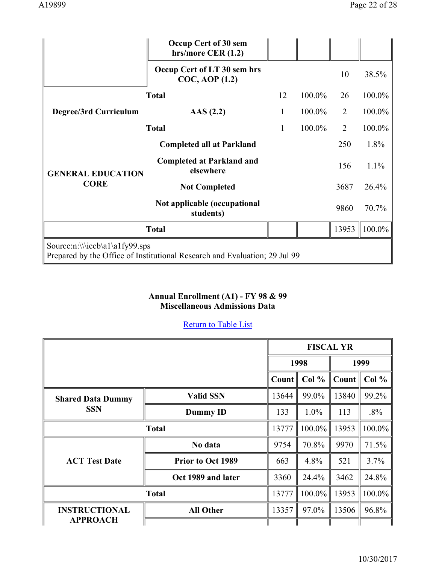|                                                                                                              | Occup Cert of 30 sem<br>hrs/more CER $(1.2)$       |    |        |                |         |
|--------------------------------------------------------------------------------------------------------------|----------------------------------------------------|----|--------|----------------|---------|
|                                                                                                              | Occup Cert of LT 30 sem hrs<br>$COC$ , AOP $(1.2)$ |    |        | 10             | 38.5%   |
|                                                                                                              | <b>Total</b>                                       | 12 | 100.0% | 26             | 100.0%  |
| Degree/3rd Curriculum                                                                                        | $\text{AAS}$ (2.2)                                 | 1  | 100.0% | 2              | 100.0%  |
|                                                                                                              | <b>Total</b>                                       | 1  | 100.0% | $\overline{2}$ | 100.0%  |
|                                                                                                              | <b>Completed all at Parkland</b>                   |    |        | 250            | 1.8%    |
| <b>GENERAL EDUCATION</b>                                                                                     | <b>Completed at Parkland and</b><br>elsewhere      |    |        | 156            | $1.1\%$ |
| <b>CORE</b>                                                                                                  | <b>Not Completed</b>                               |    |        | 3687           | 26.4%   |
|                                                                                                              | Not applicable (occupational<br>students)          |    |        | 9860           | 70.7%   |
|                                                                                                              | <b>Total</b>                                       |    |        | 13953          | 100.0%  |
| Source:n:\\\iccb\a1\a1fy99.sps<br>Prepared by the Office of Institutional Research and Evaluation; 29 Jul 99 |                                                    |    |        |                |         |

## **Annual Enrollment (A1) - FY 98 & 99 Miscellaneous Admissions Data**

|                          |                          | <b>FISCAL YR</b> |         |       |        |
|--------------------------|--------------------------|------------------|---------|-------|--------|
|                          |                          |                  | 1998    |       | 1999   |
|                          |                          | Count            | Col %   | Count | Col %  |
| <b>Shared Data Dummy</b> | <b>Valid SSN</b>         | 13644            | 99.0%   | 13840 | 99.2%  |
| <b>SSN</b>               | Dummy ID                 | 133              | $1.0\%$ | 113   | $.8\%$ |
|                          | <b>Total</b>             | 13777            | 100.0%  | 13953 | 100.0% |
|                          | No data                  | 9754             | 70.8%   | 9970  | 71.5%  |
| <b>ACT Test Date</b>     | <b>Prior to Oct 1989</b> | 663              | 4.8%    | 521   | 3.7%   |
|                          | Oct 1989 and later       | 3360             | 24.4%   | 3462  | 24.8%  |
| <b>Total</b>             |                          | 13777            | 100.0%  | 13953 | 100.0% |
| <b>INSTRUCTIONAL</b>     | <b>All Other</b>         | 13357            | 97.0%   | 13506 | 96.8%  |
| <b>APPROACH</b>          |                          |                  |         |       |        |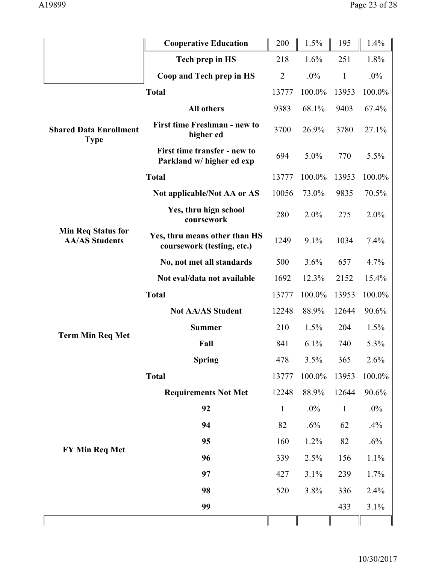|                                                    | <b>Cooperative Education</b>                                | 200            | 1.5%   | 195          | 1.4%   |
|----------------------------------------------------|-------------------------------------------------------------|----------------|--------|--------------|--------|
|                                                    | Tech prep in HS                                             | 218            | 1.6%   | 251          | 1.8%   |
|                                                    | Coop and Tech prep in HS                                    | $\overline{2}$ | $.0\%$ | $\mathbf{1}$ | $.0\%$ |
|                                                    | <b>Total</b>                                                | 13777          | 100.0% | 13953        | 100.0% |
|                                                    | All others                                                  | 9383           | 68.1%  | 9403         | 67.4%  |
| <b>Shared Data Enrollment</b><br><b>Type</b>       | <b>First time Freshman - new to</b><br>higher ed            | 3700           | 26.9%  | 3780         | 27.1%  |
|                                                    | First time transfer - new to<br>Parkland w/ higher ed exp   | 694            | 5.0%   | 770          | 5.5%   |
|                                                    | <b>Total</b>                                                | 13777          | 100.0% | 13953        | 100.0% |
|                                                    | Not applicable/Not AA or AS                                 | 10056          | 73.0%  | 9835         | 70.5%  |
|                                                    | Yes, thru hign school<br>coursework                         | 280            | 2.0%   | 275          | 2.0%   |
| <b>Min Req Status for</b><br><b>AA/AS Students</b> | Yes, thru means other than HS<br>coursework (testing, etc.) | 1249           | 9.1%   | 1034         | 7.4%   |
|                                                    | No, not met all standards                                   | 500            | 3.6%   | 657          | 4.7%   |
|                                                    | Not eval/data not available                                 | 1692           | 12.3%  | 2152         | 15.4%  |
|                                                    | <b>Total</b>                                                | 13777          | 100.0% | 13953        | 100.0% |
|                                                    | <b>Not AA/AS Student</b>                                    | 12248          | 88.9%  | 12644        | 90.6%  |
| <b>Term Min Req Met</b>                            | <b>Summer</b>                                               | 210            | 1.5%   | 204          | 1.5%   |
|                                                    | Fall                                                        | 841            | 6.1%   | 740          | 5.3%   |
|                                                    | <b>Spring</b>                                               | 478            | 3.5%   | 365          | 2.6%   |
|                                                    | <b>Total</b>                                                | 13777          | 100.0% | 13953        | 100.0% |
|                                                    | <b>Requirements Not Met</b>                                 | 12248          | 88.9%  | 12644        | 90.6%  |
|                                                    | 92                                                          | $\mathbf{1}$   | $.0\%$ | $\mathbf{1}$ | $.0\%$ |
|                                                    | 94                                                          | 82             | .6%    | 62           | .4%    |
|                                                    | 95                                                          | 160            | 1.2%   | 82           | $.6\%$ |
| FY Min Req Met                                     | 96                                                          | 339            | 2.5%   | 156          | 1.1%   |
|                                                    | 97                                                          | 427            | 3.1%   | 239          | 1.7%   |
|                                                    | 98                                                          | 520            | 3.8%   | 336          | 2.4%   |
|                                                    | 99                                                          |                |        | 433          | 3.1%   |
|                                                    |                                                             |                |        |              |        |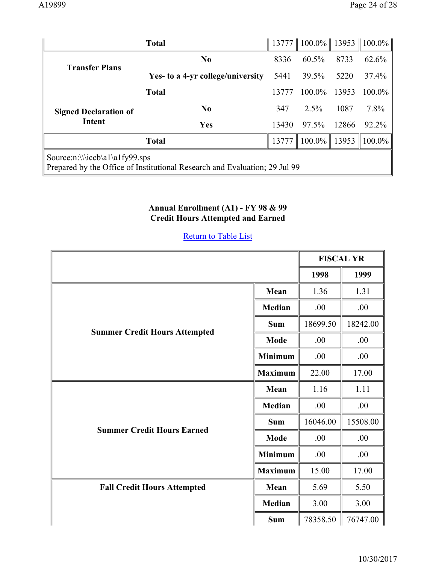|                                | <b>Total</b>                                                               |       | 13777    100.0%    13953    100.0% |       |                                |
|--------------------------------|----------------------------------------------------------------------------|-------|------------------------------------|-------|--------------------------------|
| <b>Transfer Plans</b>          | No                                                                         | 8336  | 60.5%                              | 8733  | 62.6%                          |
|                                | Yes- to a 4-yr college/university                                          | 5441  | 39.5%                              | 5220  | 37.4%                          |
|                                | <b>Total</b>                                                               | 13777 | $100.0\%$                          | 13953 | 100.0%                         |
| <b>Signed Declaration of</b>   | No                                                                         | 347   | $2.5\%$                            | 1087  | 7.8%                           |
| <b>Intent</b>                  | Yes                                                                        | 13430 | 97.5%                              | 12866 | 92.2%                          |
|                                | <b>Total</b>                                                               | 13777 | $100.0\%$   13953                  |       | $\parallel$ 100.0% $\parallel$ |
| Source:n:\\\iccb\a1\a1fy99.sps | Prepared by the Office of Institutional Research and Evaluation; 29 Jul 99 |       |                                    |       |                                |

#### **Annual Enrollment (A1) - FY 98 & 99 Credit Hours Attempted and Earned**

|                                                                              |                |          | <b>FISCAL YR</b> |
|------------------------------------------------------------------------------|----------------|----------|------------------|
|                                                                              |                | 1998     | 1999             |
|                                                                              | Mean           | 1.36     | 1.31             |
|                                                                              | <b>Median</b>  | .00      | .00              |
| <b>Sum</b><br><b>Summer Credit Hours Attempted</b><br>Mode<br><b>Minimum</b> | 18699.50       | 18242.00 |                  |
|                                                                              | .00            | .00      |                  |
|                                                                              | .00            | .00      |                  |
| <b>Maximum</b>                                                               |                | 22.00    | 17.00            |
|                                                                              | Mean           | 1.16     | 1.11             |
|                                                                              | <b>Median</b>  | .00      | .00              |
| <b>Summer Credit Hours Earned</b>                                            | <b>Sum</b>     | 16046.00 | 15508.00         |
|                                                                              | Mode           | .00      | .00              |
|                                                                              | <b>Minimum</b> | .00      | .00              |
|                                                                              | <b>Maximum</b> | 15.00    | 17.00            |
| <b>Fall Credit Hours Attempted</b>                                           | Mean           | 5.69     | 5.50             |
|                                                                              | <b>Median</b>  | 3.00     | 3.00             |
|                                                                              | <b>Sum</b>     | 78358.50 | 76747.00         |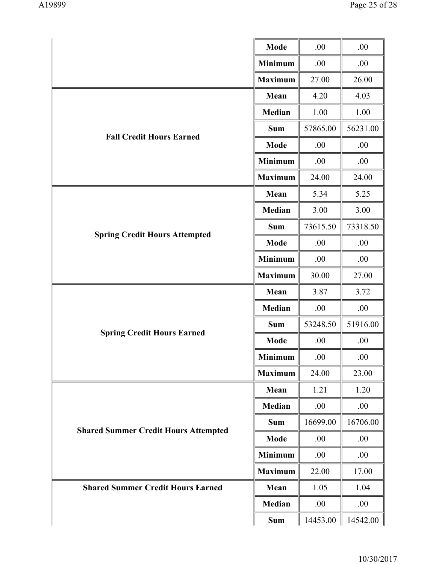|                                             | <b>Mode</b>    | .00      | .00      |
|---------------------------------------------|----------------|----------|----------|
|                                             | <b>Minimum</b> | .00      | .00      |
|                                             | <b>Maximum</b> | 27.00    | 26.00    |
|                                             | Mean           | 4.20     | 4.03     |
|                                             | Median         | 1.00     | 1.00     |
|                                             | <b>Sum</b>     | 57865.00 | 56231.00 |
| <b>Fall Credit Hours Earned</b>             | <b>Mode</b>    | .00      | .00      |
|                                             | <b>Minimum</b> | .00      | .00      |
|                                             | <b>Maximum</b> | 24.00    | 24.00    |
|                                             | Mean           | 5.34     | 5.25     |
|                                             | Median         | 3.00     | 3.00     |
|                                             | <b>Sum</b>     | 73615.50 | 73318.50 |
| <b>Spring Credit Hours Attempted</b>        | <b>Mode</b>    | .00      | .00      |
|                                             | <b>Minimum</b> | .00      | .00      |
|                                             | <b>Maximum</b> | 30.00    | 27.00    |
|                                             | Mean           | 3.87     | 3.72     |
|                                             | Median         | .00      | .00      |
|                                             | <b>Sum</b>     | 53248.50 | 51916.00 |
| <b>Spring Credit Hours Earned</b>           | <b>Mode</b>    | .00      | .00      |
|                                             | <b>Minimum</b> | .00      | .00      |
|                                             | <b>Maximum</b> | 24.00    | 23.00    |
|                                             | Mean           | 1.21     | 1.20     |
|                                             | Median         | .00      | .00      |
|                                             | <b>Sum</b>     | 16699.00 | 16706.00 |
| <b>Shared Summer Credit Hours Attempted</b> | <b>Mode</b>    | .00      | .00      |
|                                             | <b>Minimum</b> | .00      | .00      |
|                                             | <b>Maximum</b> | 22.00    | 17.00    |
| <b>Shared Summer Credit Hours Earned</b>    | Mean           | 1.05     | 1.04     |
|                                             | Median         | .00      | .00      |
|                                             | Sum            | 14453.00 | 14542.00 |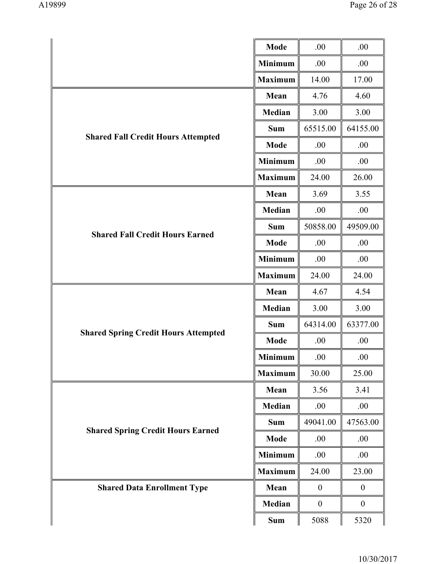|                                             | Mode           | .00              | .00              |
|---------------------------------------------|----------------|------------------|------------------|
|                                             | <b>Minimum</b> | .00              | .00              |
|                                             | <b>Maximum</b> | 14.00            | 17.00            |
|                                             | Mean           | 4.76             | 4.60             |
|                                             | Median         | 3.00             | 3.00             |
|                                             | <b>Sum</b>     | 65515.00         | 64155.00         |
| <b>Shared Fall Credit Hours Attempted</b>   | Mode           | .00              | .00              |
|                                             | <b>Minimum</b> | .00              | .00              |
|                                             | <b>Maximum</b> | 24.00            | 26.00            |
|                                             | Mean           | 3.69             | 3.55             |
|                                             | Median         | .00              | .00              |
|                                             | <b>Sum</b>     | 50858.00         | 49509.00         |
| <b>Shared Fall Credit Hours Earned</b>      | Mode           | .00              | .00              |
|                                             | <b>Minimum</b> | .00              | .00              |
|                                             | <b>Maximum</b> | 24.00            | 24.00            |
|                                             | Mean           | 4.67             | 4.54             |
|                                             | Median         | 3.00             | 3.00             |
| <b>Shared Spring Credit Hours Attempted</b> | <b>Sum</b>     | 64314.00         | 63377.00         |
|                                             | Mode           | .00              | .00              |
|                                             | <b>Minimum</b> | .00              | .00              |
|                                             | <b>Maximum</b> | 30.00            | 25.00            |
|                                             | Mean           | 3.56             | 3.41             |
|                                             | Median         | .00              | .00              |
|                                             | <b>Sum</b>     | 49041.00         | 47563.00         |
| <b>Shared Spring Credit Hours Earned</b>    | Mode           | .00              | .00              |
|                                             | <b>Minimum</b> | .00.             | .00              |
|                                             | <b>Maximum</b> | 24.00            | 23.00            |
| <b>Shared Data Enrollment Type</b>          | Mean           | $\boldsymbol{0}$ | $\boldsymbol{0}$ |
|                                             | Median         | $\boldsymbol{0}$ | $\boldsymbol{0}$ |
|                                             | Sum            | 5088             | 5320             |